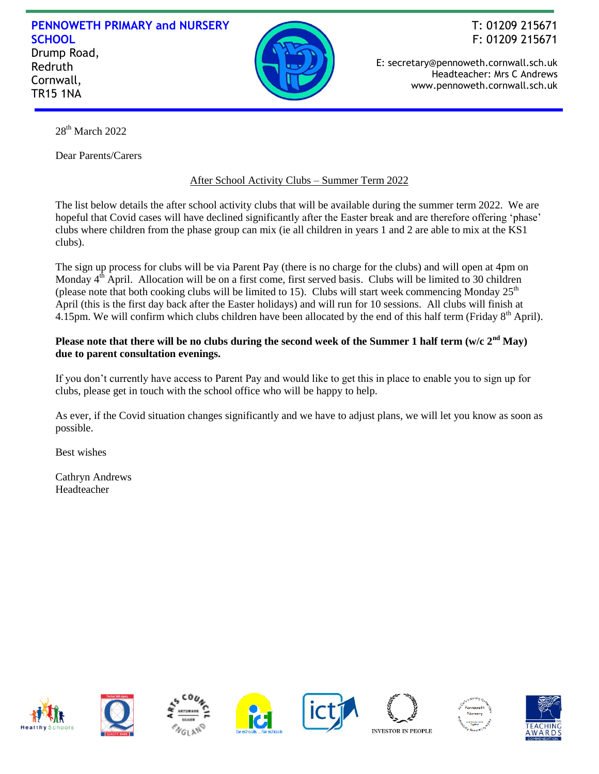## **PENNOWETH PRIMARY and NURSERY SCHOOL** Drump Road, Redruth Cornwall, TR15 1NA



F: 01209 215671 E: secretary@pennoweth.cornwall.sch.uk Headteacher: Mrs C Andrews

www.pennoweth.cornwall.sch.uk

T: 01209 215671

28<sup>th</sup> March 2022

Dear Parents/Carers

## After School Activity Clubs – Summer Term 2022

The list below details the after school activity clubs that will be available during the summer term 2022. We are hopeful that Covid cases will have declined significantly after the Easter break and are therefore offering 'phase' clubs where children from the phase group can mix (ie all children in years 1 and 2 are able to mix at the KS1 clubs).

The sign up process for clubs will be via Parent Pay (there is no charge for the clubs) and will open at 4pm on Monday 4<sup>th</sup> April. Allocation will be on a first come, first served basis. Clubs will be limited to 30 children (please note that both cooking clubs will be limited to 15). Clubs will start week commencing Monday  $25<sup>th</sup>$ April (this is the first day back after the Easter holidays) and will run for 10 sessions. All clubs will finish at 4.15pm. We will confirm which clubs children have been allocated by the end of this half term (Friday  $8<sup>th</sup>$  April).

## **Please note that there will be no clubs during the second week of the Summer 1 half term (w/c 2nd May) due to parent consultation evenings.**

If you don't currently have access to Parent Pay and would like to get this in place to enable you to sign up for clubs, please get in touch with the school office who will be happy to help.

As ever, if the Covid situation changes significantly and we have to adjust plans, we will let you know as soon as possible.

Best wishes

Cathryn Andrews Headteacher